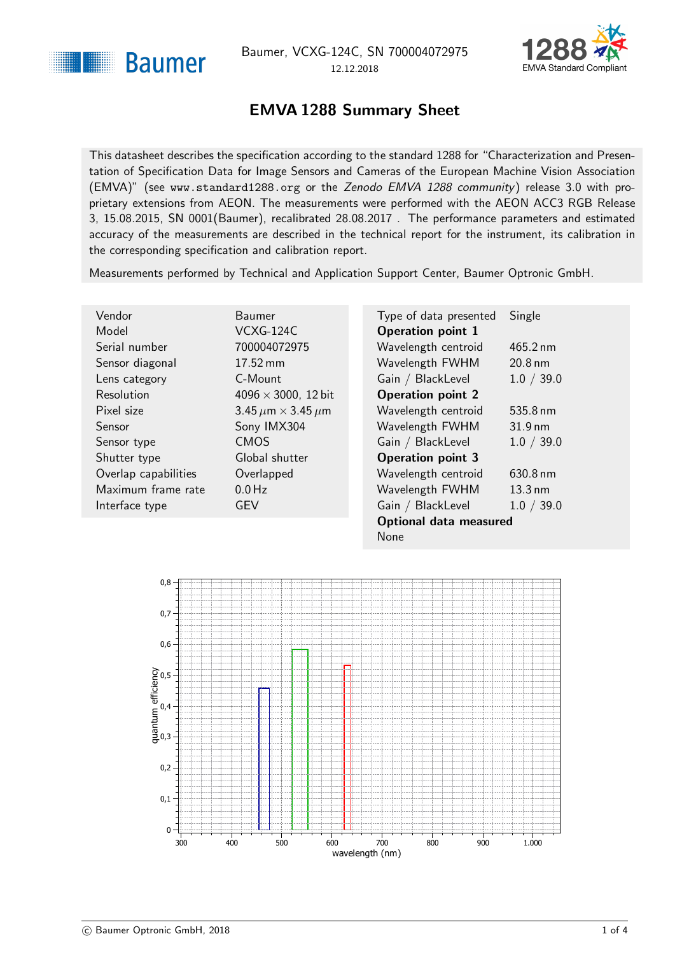<span id="page-0-1"></span>



### EMVA 1288 Summary Sheet

<span id="page-0-0"></span>This datasheet describes the specification according to the standard 1288 for "Characterization and Presentation of Specification Data for Image Sensors and Cameras of the European Machine Vision Association (EMVA)" (see <www.standard1288.org> or the [Zenodo EMVA 1288 community](http://www.zenodo.org/collection/user-emva1288) ) release 3.0 with proprietary extensions from AEON. The measurements were performed with the AEON ACC3 RGB Release 3, 15.08.2015, SN 0001(Baumer), recalibrated 28.08.2017 . The performance parameters and estimated accuracy of the measurements are described in the technical report for the instrument, its calibration in the corresponding specification and calibration report.

Measurements performed by Technical and Application Support Center, Baumer Optronic GmbH.

| Vendor               | Baumer                  |
|----------------------|-------------------------|
| Model                | VCXG-124C               |
| Serial number        | 7000040729              |
| Sensor diagonal      | 17.52 mm                |
| Lens category        | C-Mount                 |
| Resolution           | 4096 $\times$ 3000      |
| Pixel size           | 3.45 $\mu$ m $\times$ 3 |
| Sensor               | Sony IMX30              |
| Sensor type          | <b>CMOS</b>             |
| Shutter type         | Global shutt            |
| Overlap capabilities | Overlapped              |
| Maximum frame rate   | $0.0$ Hz                |
| Interface type       | <b>GEV</b>              |
|                      |                         |

072975 3000, 12 bit  $\times$  3.45  $\mu$ m 1X304 shutter

| Type of data presented        | Single            |  |
|-------------------------------|-------------------|--|
| <b>Operation point 1</b>      |                   |  |
| Wavelength centroid           | 465.2 nm          |  |
| Wavelength FWHM               | $20.8 \text{ nm}$ |  |
| Gain / BlackLevel             | 1.0 / 39.0        |  |
| <b>Operation point 2</b>      |                   |  |
| Wavelength centroid           | 535.8 nm          |  |
| Wavelength FWHM               | $31.9 \text{ nm}$ |  |
| Gain / BlackLevel             | 1.0 / 39.0        |  |
| <b>Operation point 3</b>      |                   |  |
| Wavelength centroid           | 630.8 nm          |  |
| Wavelength FWHM               | $13.3 \text{ nm}$ |  |
| Gain / BlackLevel             | 1.0 / 39.0        |  |
| <b>Optional data measured</b> |                   |  |
| None                          |                   |  |

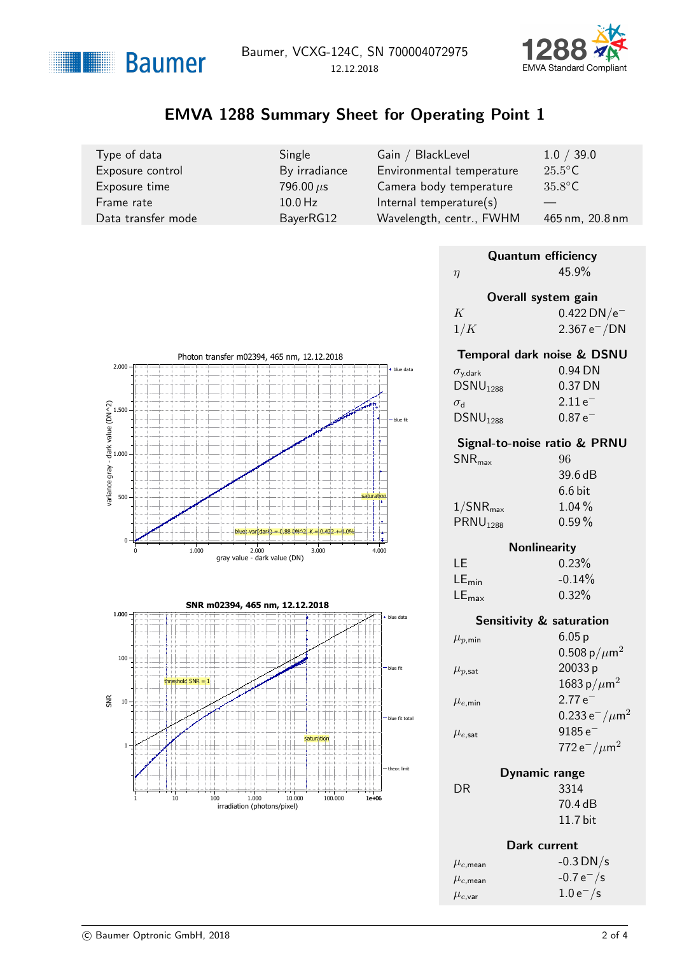



# EMVA 1288 Summary Sheet for Operating Point 1

| Type of data       | Single         | Gain / BlackLevel         | 1.0 / 39.0       |
|--------------------|----------------|---------------------------|------------------|
| Exposure control   | By irradiance  | Environmental temperature | $25.5^{\circ}$ C |
| Exposure time      | 796.00 $\mu$ s | Camera body temperature   | $35.8^{\circ}$ C |
| Frame rate         | $10.0$ Hz      | Internal temperature(s)   |                  |
| Data transfer mode | BayerRG12      | Wavelength, centr., FWHM  | 465 nm, 20.8 nm  |

|     | <b>Quantum efficiency</b> |
|-----|---------------------------|
| η   | $45.9\%$                  |
|     | Overall system gain       |
| K   | $0.422$ DN/ $e^-$         |
| 1/K | $2.367 e^- / DN$          |
|     |                           |

| Temporal dark noise & DSNU |
|----------------------------|
| $0.94$ DN                  |
| $0.37$ DN                  |
| $2.11e^-$                  |
| $0.87e^{-}$                |
|                            |

#### Signal-to-noise ratio & PRNU

| $SNR_{\text{max}}$      | 96        |
|-------------------------|-----------|
|                         | 39.6 dB   |
|                         | $6.6$ bit |
| $1/\mathsf{SNR}_{\max}$ | $1.04\%$  |
| PRNU <sub>1288</sub>    | $0.59\%$  |
|                         |           |

### **Nonlinearity**

| LE                | 0.23%    |
|-------------------|----------|
| $LE_{min}$        | $-0.14%$ |
| $LE_{\text{max}}$ | 0.32%    |

|                        | <b>Sensitivity &amp; saturation</b>       |
|------------------------|-------------------------------------------|
| $\mu_{p,\text{min}}$   | 6.05p                                     |
|                        | 0.508 p/ $\mu$ m <sup>2</sup>             |
| $\mu_{p,\mathsf{sat}}$ | 20033 p                                   |
|                        | 1683 p/ $\mu$ m <sup>2</sup>              |
| $\mu_{e,\text{min}}$   | $2.77e^{-}$                               |
|                        | 0.233 $e^-/\mu m^2$                       |
| $\mu_{e,\textsf{sat}}$ | $9185e^{-}$                               |
|                        | 772 e <sup>-</sup> / $\mu$ m <sup>2</sup> |
|                        |                                           |

| Dynamic range |            |
|---------------|------------|
|               | 3314       |
|               | 70.4 dB    |
|               | $11.7$ bit |

 $DR$ 

|                         | Dark current   |
|-------------------------|----------------|
| $\mu_{c,\mathsf{mean}}$ | $-0.3$ DN/s    |
| $\mu_{c,\mathsf{mean}}$ | $-0.7 e^- / s$ |
| $\mu_{c,\mathsf{var}}$  | $1.0 e^- / s$  |



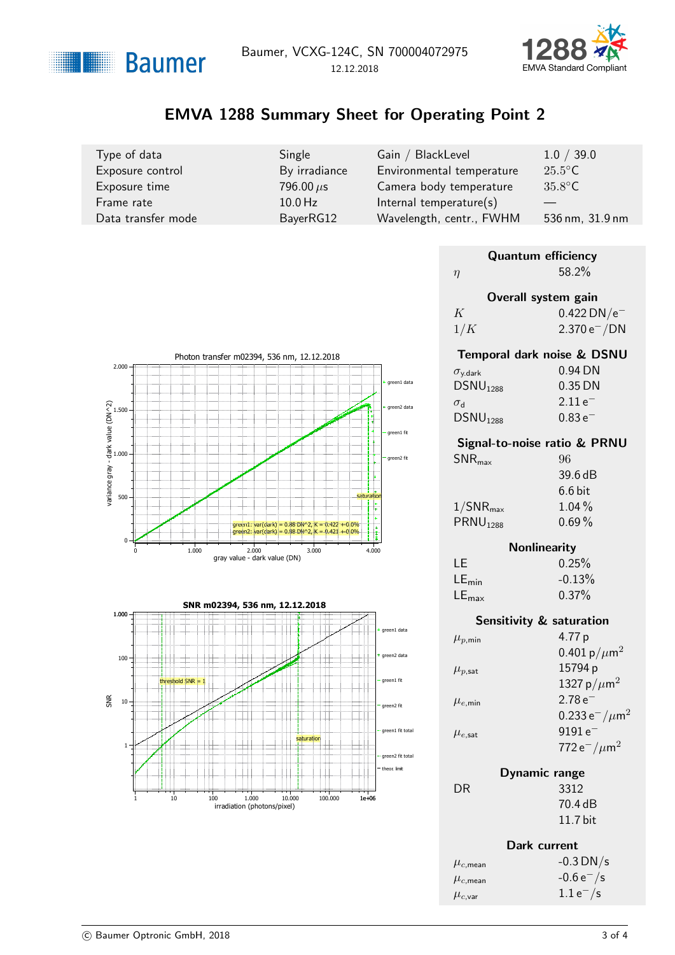



# EMVA 1288 Summary Sheet for Operating Point 2

| Type of data       | Single         | Gain / BlackLevel         | 1.0 / 39.0       |
|--------------------|----------------|---------------------------|------------------|
| Exposure control   | By irradiance  | Environmental temperature | $25.5^{\circ}$ C |
| Exposure time      | 796.00 $\mu$ s | Camera body temperature   | $35.8^{\circ}$ C |
| Frame rate         | $10.0$ Hz      | Internal temperature(s)   | 536 nm, 31.9 nm  |
| Data transfer mode | BayerRG12      | Wavelength, centr., FWHM  |                  |

|        | <b>Quantum efficiency</b> |
|--------|---------------------------|
| $\eta$ | 58.2%                     |
|        | Overall system gain       |
| K      | $0.422$ DN/ $e^-$         |
| 1/K    | $2.370 e^- / DN$          |
|        |                           |



#### Signal-to-noise ratio & PRNU

| $SNR_{\text{max}}$      | 96        |
|-------------------------|-----------|
|                         | 39.6 dB   |
|                         | $6.6$ bit |
| $1/\mathsf{SNR}_{\max}$ | $1.04\%$  |
| PRNU <sub>1288</sub>    | $0.69\%$  |
|                         |           |

### **Nonlinearity**

| T.E               | 0.25%    |
|-------------------|----------|
| $LE_{min}$        | $-0.13%$ |
| $LE_{\text{max}}$ | $0.37\%$ |

|                        | <b>Sensitivity &amp; saturation</b> |
|------------------------|-------------------------------------|
| $\mu_{p,\text{min}}$   | 4.77 p                              |
|                        | 0.401 p/ $\mu$ m <sup>2</sup>       |
| $\mu_{p,\mathsf{sat}}$ | 15794 p                             |
|                        | 1327 p/ $\mu$ m <sup>2</sup>        |
| $\mu_{e,\text{min}}$   | $2.78e^{-}$                         |
|                        | 0.233 $e^-/\mu$ m <sup>2</sup>      |
| $\mu_{e,\textsf{sat}}$ | $9191e^-$                           |
|                        | 772 $e^-/\mu$ m <sup>2</sup>        |
|                        |                                     |

| Dynamic range |
|---------------|
| 3312          |
| 70.4 dB       |
| $11.7$ bit    |
|               |

 $DR$ 

|                         | Dark current   |
|-------------------------|----------------|
| $\mu_{c,\mathsf{mean}}$ | $-0.3$ DN/s    |
| $\mu_{c,\mathsf{mean}}$ | $-0.6 e^- / s$ |
| $\mu_{c,\mathsf{var}}$  | $1.1 e^- / s$  |